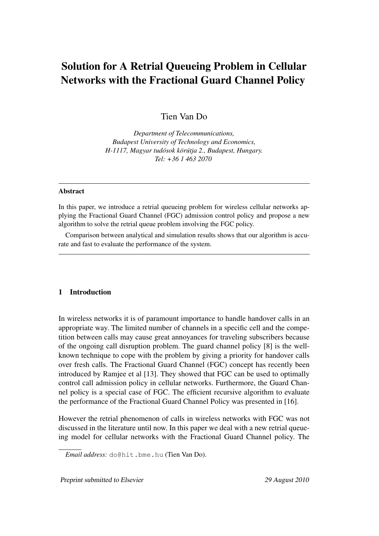# Solution for A Retrial Queueing Problem in Cellular Networks with the Fractional Guard Channel Policy

Tien Van Do

*Department of Telecommunications, Budapest University of Technology and Economics, H-1117, Magyar tudosok k ´ or¨ utja 2., Budapest, Hungary. ´ Tel: +36 1 463 2070*

#### Abstract

In this paper, we introduce a retrial queueing problem for wireless cellular networks applying the Fractional Guard Channel (FGC) admission control policy and propose a new algorithm to solve the retrial queue problem involving the FGC policy.

Comparison between analytical and simulation results shows that our algorithm is accurate and fast to evaluate the performance of the system.

### 1 Introduction

In wireless networks it is of paramount importance to handle handover calls in an appropriate way. The limited number of channels in a specific cell and the competition between calls may cause great annoyances for traveling subscribers because of the ongoing call disruption problem. The guard channel policy [8] is the wellknown technique to cope with the problem by giving a priority for handover calls over fresh calls. The Fractional Guard Channel (FGC) concept has recently been introduced by Ramjee et al [13]. They showed that FGC can be used to optimally control call admission policy in cellular networks. Furthermore, the Guard Channel policy is a special case of FGC. The efficient recursive algorithm to evaluate the performance of the Fractional Guard Channel Policy was presented in [16].

However the retrial phenomenon of calls in wireless networks with FGC was not discussed in the literature until now. In this paper we deal with a new retrial queueing model for cellular networks with the Fractional Guard Channel policy. The

Preprint submitted to Elsevier 29 August 2010

*Email address:* do@hit.bme.hu (Tien Van Do).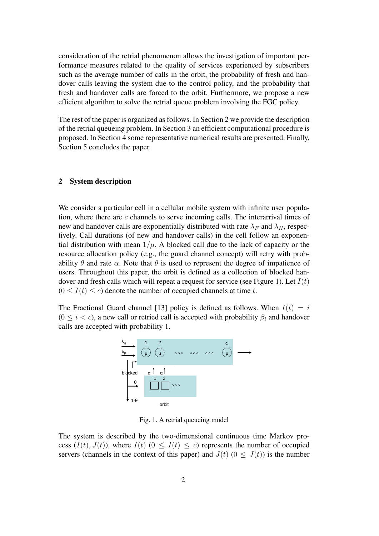consideration of the retrial phenomenon allows the investigation of important performance measures related to the quality of services experienced by subscribers such as the average number of calls in the orbit, the probability of fresh and handover calls leaving the system due to the control policy, and the probability that fresh and handover calls are forced to the orbit. Furthermore, we propose a new efficient algorithm to solve the retrial queue problem involving the FGC policy.

The rest of the paper is organized as follows. In Section 2 we provide the description of the retrial queueing problem. In Section 3 an efficient computational procedure is proposed. In Section 4 some representative numerical results are presented. Finally, Section 5 concludes the paper.

#### 2 System description

We consider a particular cell in a cellular mobile system with infinite user population, where there are  $c$  channels to serve incoming calls. The interarrival times of new and handover calls are exponentially distributed with rate  $\lambda_F$  and  $\lambda_H$ , respectively. Call durations (of new and handover calls) in the cell follow an exponential distribution with mean  $1/\mu$ . A blocked call due to the lack of capacity or the resource allocation policy (e.g., the guard channel concept) will retry with probability  $\theta$  and rate  $\alpha$ . Note that  $\theta$  is used to represent the degree of impatience of users. Throughout this paper, the orbit is defined as a collection of blocked handover and fresh calls which will repeat a request for service (see Figure 1). Let  $I(t)$  $(0 < I(t) < c)$  denote the number of occupied channels at time t.

The Fractional Guard channel [13] policy is defined as follows. When  $I(t) = i$  $(0 \le i < c)$ , a new call or retried call is accepted with probability  $\beta_i$  and handover calls are accepted with probability 1.



Fig. 1. A retrial queueing model

The system is described by the two-dimensional continuous time Markov process  $(I(t), J(t))$ , where  $I(t)$   $(0 \leq I(t) \leq c)$  represents the number of occupied servers (channels in the context of this paper) and  $J(t)$  ( $0 \leq J(t)$ ) is the number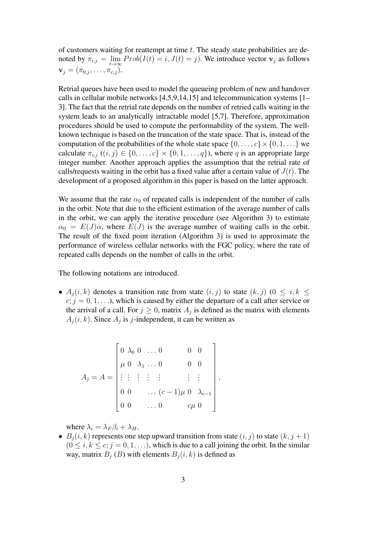of customers waiting for reattempt at time  $t$ . The steady state probabilities are denoted by  $\pi_{i,j} = \lim_{t \to \infty} Prob(I(t) = i, J(t) = j)$ . We introduce vector  $\mathbf{v}_j$  as follows  $\mathbf{v}_j = (\pi_{0,j}, \ldots, \pi_{c,j}).$ 

Retrial queues have been used to model the queueing problem of new and handover calls in cellular mobile networks [4,5,9,14,15] and telecommunication systems [1– 3]. The fact that the retrial rate depends on the number of retried calls waiting in the system leads to an analytically intractable model [5,7]. Therefore, approximation procedures should be used to compute the performability of the system. The wellknown technique is based on the truncation of the state space. That is, instead of the computation of the probabilities of the whole state space  $\{0, \ldots, c\} \times \{0, 1, \ldots\}$  we calculate  $\pi_{i,j}$   $((i, j) \in \{0, \ldots, c\} \times \{0, 1, \ldots, q\})$ , where q is an appropriate large integer number. Another approach applies the assumption that the retrial rate of calls/requests waiting in the orbit has a fixed value after a certain value of  $J(t)$ . The development of a proposed algorithm in this paper is based on the latter approach.

We assume that the rate  $\alpha_0$  of repeated calls is independent of the number of calls in the orbit. Note that due to the efficient estimation of the average number of calls in the orbit, we can apply the iterative procedure (see Algorithm 3) to estimate  $\alpha_0 = E(J)\alpha$ , where  $E(J)$  is the average number of waiting calls in the orbit. The result of the fixed point iteration (Algorithm 3) is used to approximate the performance of wireless cellular networks with the FGC policy, where the rate of repeated calls depends on the number of calls in the orbit.

The following notations are introduced.

•  $A_i(i, k)$  denotes a transition rate from state  $(i, j)$  to state  $(k, j)$   $(0 \leq i, k \leq j)$  $c; j = 0, 1, \ldots$ , which is caused by either the departure of a call after service or the arrival of a call. For  $j \geq 0$ , matrix  $A_j$  is defined as the matrix with elements  $A_j(i, k)$ . Since  $A_j$  is j-independent, it can be written as

$$
A_j = A = \begin{bmatrix} 0 & \lambda_0 & 0 & \dots & 0 & 0 & 0 \\ \mu & 0 & \lambda_1 & \dots & 0 & 0 & 0 \\ \vdots & \vdots & \vdots & \vdots & \vdots & \vdots & \vdots \\ 0 & 0 & \dots & (c-1)\mu & 0 & \lambda_{c-1} \\ 0 & 0 & \dots & 0 & c\mu & 0 \end{bmatrix},
$$

where  $\lambda_i = \lambda_F \beta_i + \lambda_H$ .

•  $B_i(i, k)$  represents one step upward transition from state  $(i, j)$  to state  $(k, j + 1)$  $(0 \le i, k \le c; j = 0, 1, \ldots)$ , which is due to a call joining the orbit. In the similar way, matrix  $B_i$  (B) with elements  $B_i(i, k)$  is defined as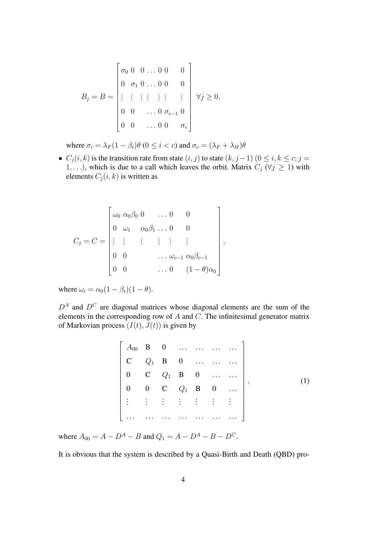$$
B_j = B = \begin{bmatrix} \sigma_0 & 0 & 0 & \dots & 0 & 0 & 0 \\ 0 & \sigma_1 & 0 & \dots & 0 & 0 & 0 \\ \vdots & \vdots & \vdots & \vdots & \vdots & \vdots & \vdots \\ 0 & 0 & \dots & 0 & \sigma_{c-1} & 0 \\ 0 & 0 & \dots & 0 & 0 & \sigma_c \end{bmatrix} \quad \forall j \ge 0,
$$

where  $\sigma_i = \lambda_F (1 - \beta_i) \theta$  ( $0 \le i < c$ ) and  $\sigma_c = (\lambda_F + \lambda_H) \theta$ 

•  $C_j(i, k)$  is the transition rate from state  $(i, j)$  to state  $(k, j - 1)$   $(0 \le i, k \le c; j = 1)$ 1, ...), which is due to a call which leaves the orbit. Matrix  $C_j$  ( $\forall j \geq 1$ ) with elements  $C_j(i, k)$  is written as

$$
C_j = C = \begin{bmatrix} \omega_0 & \alpha_0 \beta_0 & 0 & \dots & 0 & 0 \\ 0 & \omega_1 & \alpha_0 \beta_1 & \dots & 0 & 0 \\ \vdots & \vdots & \vdots & \vdots & \vdots & \vdots \\ 0 & 0 & & \dots & \omega_{c-1} & \alpha_0 \beta_{c-1} \\ 0 & 0 & & \dots & 0 & (1 - \theta)\alpha_0 \end{bmatrix},
$$

where  $\omega_i = \alpha_0 (1 - \beta_i)(1 - \theta)$ .

 $D^A$  and  $D^C$  are diagonal matrices whose diagonal elements are the sum of the elements in the corresponding row of  $A$  and  $C$ . The infinitesimal generator matrix of Markovian process  $(I(t), J(t))$  is given by

| $\begin{bmatrix} C & Q_1 & B & 0 & \dots & \dots & \dots \end{bmatrix}$                  |  |  |          |
|------------------------------------------------------------------------------------------|--|--|----------|
| $\begin{bmatrix} 0 & C & Q_1 & B & 0 & \dots & \dots \\ \end{bmatrix}$                   |  |  |          |
| $\begin{bmatrix} 0 & 0 & C & Q_1 & B & 0 & \dots \end{bmatrix}$                          |  |  |          |
| $\left  \begin{smallmatrix} 1 & 1 & 1 & 1 & 1 & 1 & 1 & 1 & 1 \end{smallmatrix} \right $ |  |  |          |
|                                                                                          |  |  | <u>.</u> |

where  $A_{00} = A - D^A - B$  and  $Q_1 = A - D^A - B - D^C$ .

It is obvious that the system is described by a Quasi-Birth and Death (QBD) pro-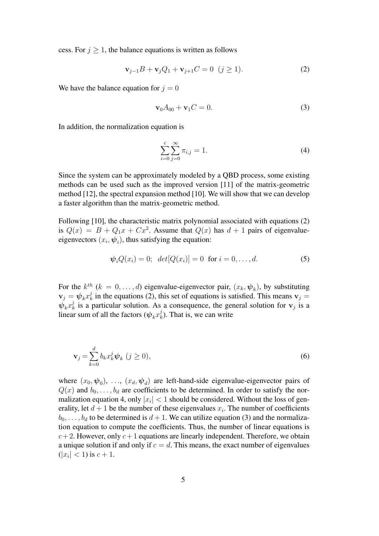cess. For  $j \geq 1$ , the balance equations is written as follows

$$
\mathbf{v}_{j-1}B + \mathbf{v}_j Q_1 + \mathbf{v}_{j+1}C = 0 \ (j \ge 1). \tag{2}
$$

We have the balance equation for  $j = 0$ 

$$
\mathbf{v}_0 A_{00} + \mathbf{v}_1 C = 0. \tag{3}
$$

In addition, the normalization equation is

$$
\sum_{i=0}^{c} \sum_{j=0}^{\infty} \pi_{i,j} = 1.
$$
 (4)

Since the system can be approximately modeled by a QBD process, some existing methods can be used such as the improved version [11] of the matrix-geometric method [12], the spectral expansion method [10]. We will show that we can develop a faster algorithm than the matrix-geometric method.

Following [10], the characteristic matrix polynomial associated with equations (2) is  $Q(x) = B + Q_1x + Cx^2$ . Assume that  $Q(x)$  has  $d + 1$  pairs of eigenvalueeigenvectors  $(x_i, \psi_i)$ , thus satisfying the equation:

$$
\psi_i Q(x_i) = 0; \ \det[Q(x_i)] = 0 \ \text{for } i = 0, ..., d.
$$
 (5)

For the  $k^{th}$   $(k = 0, \ldots, d)$  eigenvalue-eigenvector pair,  $(x_k, \psi_k)$ , by substituting  $\mathbf{v}_j = \boldsymbol{\psi}_k x_k^j$  $k<sub>k</sub>$  in the equations (2), this set of equations is satisfied. This means  $v_j =$  $\check{\boldsymbol{\psi}_k} x^j_k$  $k$  is a particular solution. As a consequence, the general solution for  $v_j$  is a linear sum of all the factors  $(\psi_k x_k^j)$  $\chi_k^j$ ). That is, we can write

$$
\mathbf{v}_j = \sum_{k=0}^d b_k x_k^j \boldsymbol{\psi}_k \ (j \ge 0), \tag{6}
$$

where  $(x_0, \psi_0)$ , ...,  $(x_d, \psi_d)$  are left-hand-side eigenvalue-eigenvector pairs of  $Q(x)$  and  $b_0, \ldots, b_d$  are coefficients to be determined. In order to satisfy the normalization equation 4, only  $|x_i| < 1$  should be considered. Without the loss of generality, let  $d+1$  be the number of these eigenvalues  $x_i$ . The number of coefficients  $b_0, \ldots, b_d$  to be determined is  $d+1$ . We can utilize equation (3) and the normalization equation to compute the coefficients. Thus, the number of linear equations is  $c+2$ . However, only  $c+1$  equations are linearly independent. Therefore, we obtain a unique solution if and only if  $c = d$ . This means, the exact number of eigenvalues  $(|x_i| < 1)$  is  $c + 1$ .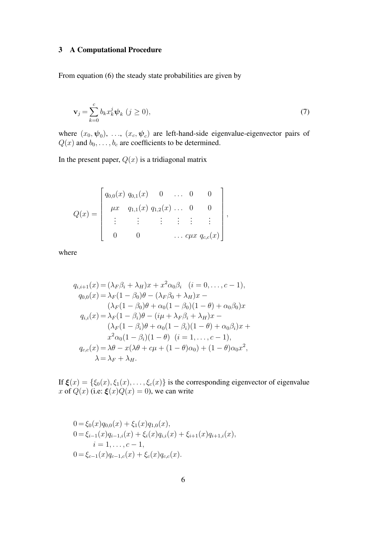## 3 A Computational Procedure

From equation (6) the steady state probabilities are given by

$$
\mathbf{v}_j = \sum_{k=0}^c b_k x_k^j \boldsymbol{\psi}_k \ (j \ge 0), \tag{7}
$$

where  $(x_0, \psi_0)$ , ...,  $(x_c, \psi_c)$  are left-hand-side eigenvalue-eigenvector pairs of  $Q(x)$  and  $b_0, \ldots, b_c$  are coefficients to be determined.

In the present paper,  $Q(x)$  is a tridiagonal matrix

$$
Q(x) = \begin{bmatrix} q_{0,0}(x) & q_{0,1}(x) & 0 & \dots & 0 & 0 \\ \mu x & q_{1,1}(x) & q_{1,2}(x) & \dots & 0 & 0 \\ \vdots & \vdots & \vdots & \vdots & \vdots & \vdots \\ 0 & 0 & \dots & c\mu x & q_{c,c}(x) \end{bmatrix},
$$

where

$$
q_{i,i+1}(x) = (\lambda_F \beta_i + \lambda_H)x + x^2 \alpha_0 \beta_i \quad (i = 0, ..., c - 1),
$$
  
\n
$$
q_{0,0}(x) = \lambda_F (1 - \beta_0) \theta - (\lambda_F \beta_0 + \lambda_H)x -
$$
  
\n
$$
(\lambda_F (1 - \beta_0) \theta + \alpha_0 (1 - \beta_0)(1 - \theta) + \alpha_0 \beta_0)x
$$
  
\n
$$
q_{i,i}(x) = \lambda_F (1 - \beta_i) \theta - (i\mu + \lambda_F \beta_i + \lambda_H)x -
$$
  
\n
$$
(\lambda_F (1 - \beta_i) \theta + \alpha_0 (1 - \beta_i)(1 - \theta) + \alpha_0 \beta_i)x +
$$
  
\n
$$
x^2 \alpha_0 (1 - \beta_i)(1 - \theta) \quad (i = 1, ..., c - 1),
$$
  
\n
$$
q_{c,c}(x) = \lambda \theta - x(\lambda \theta + c\mu + (1 - \theta) \alpha_0) + (1 - \theta) \alpha_0 x^2,
$$
  
\n
$$
\lambda = \lambda_F + \lambda_H.
$$

If  $\xi(x) = {\xi_0(x), \xi_1(x), \dots, \xi_c(x)}$  is the corresponding eigenvector of eigenvalue x of  $Q(x)$  (i.e.  $\zeta(x)Q(x) = 0$ ), we can write

$$
0 = \xi_0(x)q_{0,0}(x) + \xi_1(x)q_{1,0}(x),
$$
  
\n
$$
0 = \xi_{i-1}(x)q_{i-1,i}(x) + \xi_i(x)q_{i,i}(x) + \xi_{i+1}(x)q_{i+1,i}(x),
$$
  
\n
$$
i = 1,...,c-1,
$$
  
\n
$$
0 = \xi_{c-1}(x)q_{c-1,c}(x) + \xi_c(x)q_{c,c}(x).
$$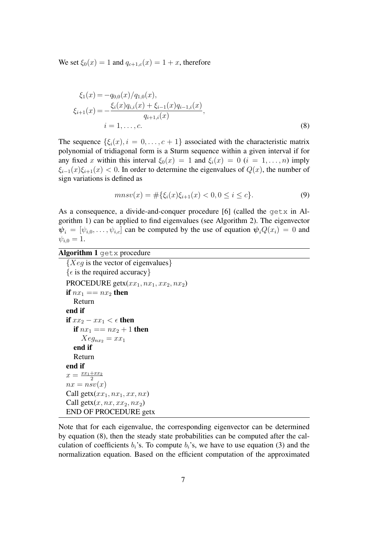We set  $\xi_0(x) = 1$  and  $q_{c+1,c}(x) = 1 + x$ , therefore

$$
\xi_1(x) = -q_{0,0}(x)/q_{1,0}(x),
$$
  
\n
$$
\xi_{i+1}(x) = -\frac{\xi_i(x)q_{i,i}(x) + \xi_{i-1}(x)q_{i-1,i}(x)}{q_{i+1,i}(x)},
$$
  
\n
$$
i = 1, ..., c.
$$
\n(8)

The sequence  $\{\xi_i(x), i = 0, \ldots, c+1\}$  associated with the characteristic matrix polynomial of tridiagonal form is a Sturm sequence within a given interval if for any fixed x within this interval  $\xi_0(x) = 1$  and  $\xi_i(x) = 0$   $(i = 1, \ldots, n)$  imply  $\xi_{i-1}(x)\xi_{i+1}(x) < 0$ . In order to determine the eigenvalues of  $Q(x)$ , the number of sign variations is defined as

$$
mnsv(x) = #\{\xi_i(x)\xi_{i+1}(x) < 0, 0 \le i \le c\}. \tag{9}
$$

As a consequence, a divide-and-conquer procedure [6] (called the getx in Algorithm 1) can be applied to find eigenvalues (see Algorithm 2). The eigenvector  $\psi_i = [\psi_{i,0}, \dots, \psi_{i,c}]$  can be computed by the use of equation  $\psi_i Q(x_i) = 0$  and  $\psi_{i,0} = 1.$ 

Algorithm 1 getx procedure

```
{Xeq} is the vector of eigenvalues}
{\epsilon is the required accuracy}
PROCEDURE getx(xx_1, nx_1, xx_2, nx_2)if nx_1 == nx_2 then
  Return
end if
if xx_2 - xx_1 < \epsilon then
  if nx_1 == nx_2 + 1 then
     Xeg_{nx_2} = xx_1end if
  Return
end if
x = \frac{xx_1 + xx_2}{2}2
nx = nsv(x)Call getx(xx_1, nx_1, xx, nx)Call getx(x, nx, xx_2, nx_2)END OF PROCEDURE getx
```
Note that for each eigenvalue, the corresponding eigenvector can be determined by equation (8), then the steady state probabilities can be computed after the calculation of coefficients  $b_i$ 's. To compute  $b_i$ 's, we have to use equation (3) and the normalization equation. Based on the efficient computation of the approximated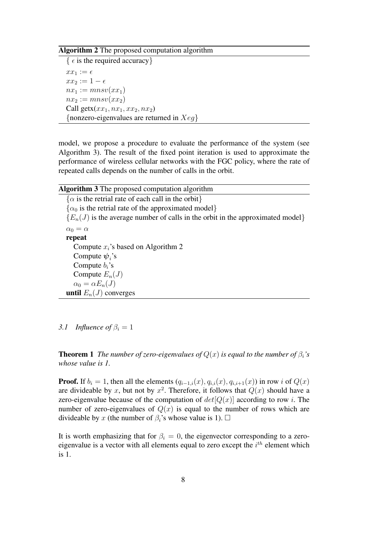#### Algorithm 2 The proposed computation algorithm

{  $\epsilon$  is the required accuracy}  $xx_1 := \epsilon$  $xx_2 := 1 - \epsilon$  $nx_1 := mnsv(xx_1)$  $nx_2 := mnsv(xx_2)$ Call getx $(xx_1, nx_1, xx_2, nx_2)$ {nonzero-eigenvalues are returned in  $Xeq$ }

model, we propose a procedure to evaluate the performance of the system (see Algorithm 3). The result of the fixed point iteration is used to approximate the performance of wireless cellular networks with the FGC policy, where the rate of repeated calls depends on the number of calls in the orbit.

Algorithm 3 The proposed computation algorithm  $\{\alpha$  is the retrial rate of each call in the orbit}  $\{\alpha_0$  is the retrial rate of the approximated model  ${E_n(J)}$  is the average number of calls in the orbit in the approximated model  $\alpha_0 = \alpha$ repeat Compute  $x_i$ 's based on Algorithm 2 Compute  $\psi_i$ 's Compute  $b_i$ 's Compute  $E_n(J)$  $\alpha_0 = \alpha E_n(J)$ until  $E_n(J)$  converges

*3.1 Influence of*  $\beta_i = 1$ 

**Theorem 1** *The number of zero-eigenvalues of*  $Q(x)$  *is equal to the number of*  $\beta_i$ *'s whose value is 1.*

**Proof.** If  $b_i = 1$ , then all the elements  $(q_{i-1,i}(x), q_{i,i}(x), q_{i,i+1}(x))$  in row i of  $Q(x)$ are divideable by x, but not by  $x^2$ . Therefore, it follows that  $Q(x)$  should have a zero-eigenvalue because of the computation of  $det[Q(x)]$  according to row i. The number of zero-eigenvalues of  $Q(x)$  is equal to the number of rows which are divideable by x (the number of  $\beta_i$ 's whose value is 1).  $\Box$ 

It is worth emphasizing that for  $\beta_i = 0$ , the eigenvector corresponding to a zeroeigenvalue is a vector with all elements equal to zero except the  $i<sup>th</sup>$  element which is 1.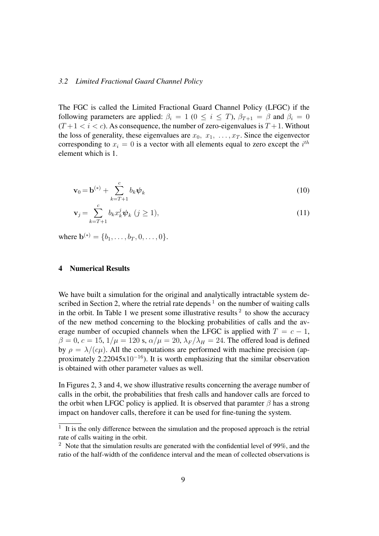#### *3.2 Limited Fractional Guard Channel Policy*

The FGC is called the Limited Fractional Guard Channel Policy (LFGC) if the following parameters are applied:  $\beta_i = 1$  ( $0 \le i \le T$ ),  $\beta_{T+1} = \beta$  and  $\beta_i = 0$  $(T+1 < i < c)$ . As consequence, the number of zero-eigenvalues is  $T+1$ . Without the loss of generality, these eigenvalues are  $x_0, x_1, \ldots, x_T$ . Since the eigenvector corresponding to  $x_i = 0$  is a vector with all elements equal to zero except the  $i^{th}$ element which is 1.

$$
\mathbf{v}_0 = \mathbf{b}^{(*)} + \sum_{k=T+1}^{c} b_k \boldsymbol{\psi}_k
$$
 (10)

$$
\mathbf{v}_{j} = \sum_{k=T+1}^{c} b_{k} x_{k}^{j} \boldsymbol{\psi}_{k} \ (j \ge 1), \tag{11}
$$

where  $\mathbf{b}^{(*)} = \{b_1, \ldots, b_T, 0, \ldots, 0\}.$ 

#### 4 Numerical Results

We have built a simulation for the original and analytically intractable system described in Section 2, where the retrial rate depends  $1$  on the number of waiting calls in the orbit. In Table 1 we present some illustrative results  $2$  to show the accuracy of the new method concerning to the blocking probabilities of calls and the average number of occupied channels when the LFGC is applied with  $T = c - 1$ ,  $\beta = 0, c = 15, 1/\mu = 120$  s,  $\alpha/\mu = 20, \lambda_F/\lambda_H = 24$ . The offered load is defined by  $\rho = \lambda/(c\mu)$ . All the computations are performed with machine precision (approximately  $2.22045x10^{-16}$ ). It is worth emphasizing that the similar observation is obtained with other parameter values as well.

In Figures 2, 3 and 4, we show illustrative results concerning the average number of calls in the orbit, the probabilities that fresh calls and handover calls are forced to the orbit when LFGC policy is applied. It is observed that paramter  $\beta$  has a strong impact on handover calls, therefore it can be used for fine-tuning the system.

 $1$  It is the only difference between the simulation and the proposed approach is the retrial rate of calls waiting in the orbit.

<sup>&</sup>lt;sup>2</sup> Note that the simulation results are generated with the confidential level of 99%, and the ratio of the half-width of the confidence interval and the mean of collected observations is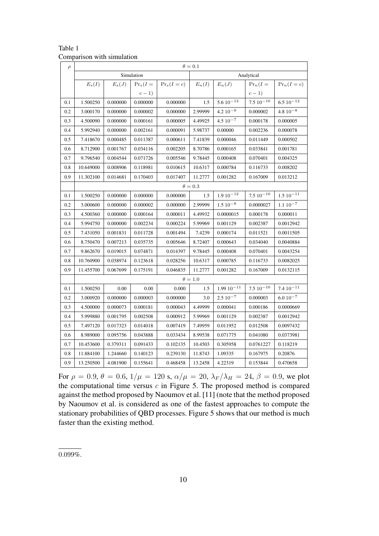| $\rho$ | $\theta = 0.1$ |                |            |               |            |                  |                 |                   |  |  |  |  |  |  |
|--------|----------------|----------------|------------|---------------|------------|------------------|-----------------|-------------------|--|--|--|--|--|--|
|        |                |                | Simulation |               | Analytical |                  |                 |                   |  |  |  |  |  |  |
|        | $E_s(I)$       | $E_s(J)$       | $Pr_s(I =$ | $Pr_s(I = c)$ | $E_n(I)$   | $E_n(J)$         | $Pr_n(I =$      | $Pr_n(I = c)$     |  |  |  |  |  |  |
|        |                |                | $c-1)$     |               |            |                  | $c-1)$          |                   |  |  |  |  |  |  |
| 0.1    | 1.500250       | 0.000000       | 0.000000   | 0.000000      | 1.5        | $5.610^{-13}$    | $7.510^{-10}$   | $6.5\ 10^{-12}$   |  |  |  |  |  |  |
| 0.2    | 3.000170       | 0.000000       | 0.000002   | 0.000000      | 2.99999    | $4.210^{-9}$     | 0.000002        | $4.810^{-8}$      |  |  |  |  |  |  |
| 0.3    | 4.500090       | 0.000000       | 0.000161   | 0.000005      | 4.49925    | $4.510^{-7}$     | 0.000178        | 0.000005          |  |  |  |  |  |  |
| 0.4    | 5.992940       | 0.000000       | 0.002161   | 0.000091      | 5.98737    | 0.00000          | 0.002236        | 0.000078          |  |  |  |  |  |  |
| 0.5    | 7.418670       | 0.000485       | 0.011387   | 0.000611      | 7.41839    | 0.000046         | 0.011449        | 0.000502          |  |  |  |  |  |  |
| 0.6    | 8.712900       | 0.001767       | 0.034116   | 0.002205      | 8.70786    | 0.000165         | 0.033841        | 0.001781          |  |  |  |  |  |  |
| 0.7    | 9.796540       | 0.004544       | 0.071726   | 0.005546      | 9.78445    | 0.000408         | 0.070401        | 0.004325          |  |  |  |  |  |  |
| 0.8    | 10.649000      | 0.008906       | 0.118981   | 0.010615      | 10.6317    | 0.000784         | 0.116733        | 0.008202          |  |  |  |  |  |  |
| 0.9    | 11.302100      | 0.014681       | 0.170403   | 0.017407      | 11.2777    | 0.001282         | 0.167009        | 0.013212          |  |  |  |  |  |  |
|        |                | $\theta = 0.3$ |            |               |            |                  |                 |                   |  |  |  |  |  |  |
| 0.1    | 1.500250       | 0.000000       | 0.000000   | 0.000000      | 1.5        | $1.9 10^{-12}$   | $7.5 10^{-10}$  | $1.510^{-11}$     |  |  |  |  |  |  |
| 0.2    | 3.000600       | 0.000000       | 0.000002   | 0.000000      | 2.99999    | $1.510^{-8}$     | 0.0000027       | $1.110^{-7}$      |  |  |  |  |  |  |
| 0.3    | 4.500360       | 0.000000       | 0.000164   | 0.000011      | 4.49932    | 0.0000015        | 0.000178        | 0.000011          |  |  |  |  |  |  |
| 0.4    | 5.994750       | 0.000000       | 0.002234   | 0.000224      | 5.99969    | 0.001129         | 0.002387        | 0.0012942         |  |  |  |  |  |  |
| 0.5    | 7.431050       | 0.001831       | 0.011728   | 0.001494      | 7.4239     | 0.000174         | 0.011521        | 0.0011505         |  |  |  |  |  |  |
| 0.6    | 8.750470       | 0.007213       | 0.035735   | 0.005646      | 8.72407    | 0.000643         | 0.034040        | 0.0040884         |  |  |  |  |  |  |
| 0.7    | 9.862670       | 0.019015       | 0.074871   | 0.014397      | 9.78445    | 0.000408         | 0.070401        | 0.0043254         |  |  |  |  |  |  |
| 0.8    | 10.760900      | 0.038974       | 0.123618   | 0.028256      | 10.6317    | 0.000785         | 0.116733        | 0.0082025         |  |  |  |  |  |  |
| 0.9    | 11.455700      | 0.067699       | 0.175191   | 0.046835      | 11.2777    | 0.001282         | 0.167009        | 0.0132115         |  |  |  |  |  |  |
|        | $\theta=1.0$   |                |            |               |            |                  |                 |                   |  |  |  |  |  |  |
| 0.1    | 1.500250       | 0.00           | 0.00       | 0.000         | 1.5        | $1.99\ 10^{-11}$ | $7.5\ 10^{-10}$ | $7.4 \; 10^{-11}$ |  |  |  |  |  |  |
| 0.2    | 3.000920       | 0.000000       | 0.000003   | 0.000000      | 3.0        | $2.5\ 10^{-7}$   | 0.000003        | $6.0\;10^{-7}$    |  |  |  |  |  |  |
| 0.3    | 4.500000       | 0.000073       | 0.000181   | 0.000043      | 4.49999    | 0.000041         | 0.000186        | 0.0000669         |  |  |  |  |  |  |
| 0.4    | 5.999880       | 0.001795       | 0.002508   | 0.000912      | 5.99969    | 0.001129         | 0.002387        | 0.0012942         |  |  |  |  |  |  |
| 0.5    | 7.497120       | 0.017323       | 0.014018   | 0.007419      | 7.49959    | 0.011952         | 0.012508        | 0.0097432         |  |  |  |  |  |  |
| 0.6    | 8.989000       | 0.095756       | 0.043888   | 0.033434      | 8.99538    | 0.071775         | 0.041080        | 0.0373981         |  |  |  |  |  |  |
| 0.7    | 10.453600      | 0.379311       | 0.091433   | 0.102135      | 10.4503    | 0.305958         | 0.0761227       | 0.118219          |  |  |  |  |  |  |
| 0.8    | 11.884100      | 1.244660       | 0.140123   | 0.239130      | 11.8743    | 1.09335          | 0.167975        | 0.20876           |  |  |  |  |  |  |
| 0.9    | 13.250500      | 4.081900       | 0.155641   | 0.468458      | 13.2458    | 4.22319          | 0.153844        | 0.470658          |  |  |  |  |  |  |

Table 1 Comparison with simulation

For  $\rho = 0.9, \theta = 0.6, 1/\mu = 120$  s,  $\alpha/\mu = 20, \lambda_F/\lambda_H = 24, \beta = 0.9$ , we plot the computational time versus  $c$  in Figure 5. The proposed method is compared against the method proposed by Naoumov et al. [11] (note that the method proposed by Naoumov et al. is considered as one of the fastest approaches to compute the stationary probabilities of QBD processes. Figure 5 shows that our method is much faster than the existing method.

0.099%.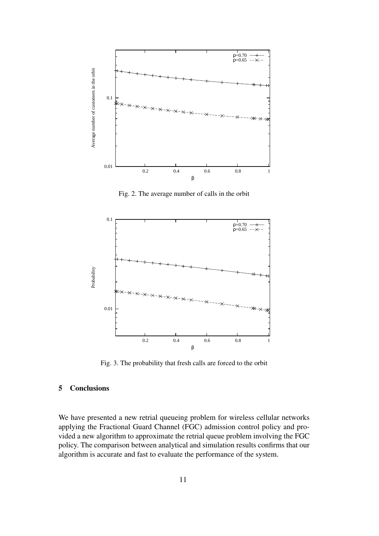

Fig. 2. The average number of calls in the orbit



Fig. 3. The probability that fresh calls are forced to the orbit

#### 5 Conclusions

We have presented a new retrial queueing problem for wireless cellular networks applying the Fractional Guard Channel (FGC) admission control policy and provided a new algorithm to approximate the retrial queue problem involving the FGC policy. The comparison between analytical and simulation results confirms that our algorithm is accurate and fast to evaluate the performance of the system.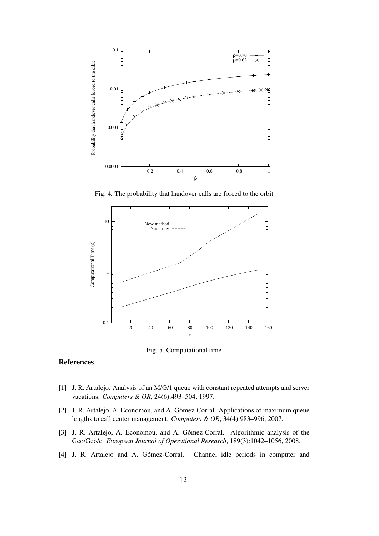

Fig. 4. The probability that handover calls are forced to the orbit



Fig. 5. Computational time

#### References

- [1] J. R. Artalejo. Analysis of an M/G/1 queue with constant repeated attempts and server vacations. *Computers & OR*, 24(6):493–504, 1997.
- [2] J. R. Artalejo, A. Economou, and A. Gómez-Corral. Applications of maximum queue lengths to call center management. *Computers & OR*, 34(4):983–996, 2007.
- [3] J. R. Artalejo, A. Economou, and A. Gómez-Corral. Algorithmic analysis of the Geo/Geo/c. *European Journal of Operational Research*, 189(3):1042–1056, 2008.
- [4] J. R. Artalejo and A. Gómez-Corral. Channel idle periods in computer and